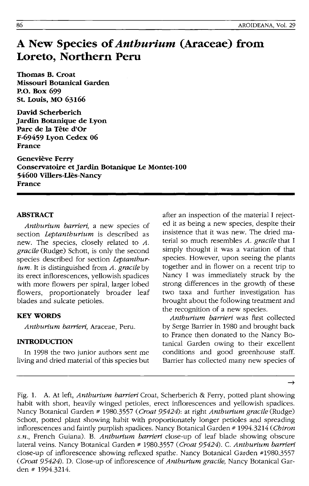## **A New Species of** *Anthurium* **(Araceae) from Loreto, Northern Peru**

**Thomas B. Croat Missouri Botanical Garden P.O. Box 699 St. Louis, MO 63166** 

**David Scherberich Jardin Botanique de Lyon Parc de la Tete d'Or F-69459 Lyon Cedex 06 France** 

Geneviève Ferry **Conservatoire etJardin Botanique Le Montet-100 54600 Villers-lies-Nancy France** 

## **ABSTRACT**

*Anthurium barrieri,* a new species of section *Leptanthurium* is described as new. The species, closely related to *A. gracile* (Rudge) Schott, is only the second species described for section *Leptanthurium.* It is distinguished from *A. gracile* by its erect inflorescences, yellowish spadices with more flowers per spiral, larger lobed flowers, proportionately broader leaf blades and sulcate petioles.

## **KEY WORDS**

*Anthurium barrieri,* Araceae, Peru.

## **INTRODUCTION**

**In** 1998 the two junior authors sent me living and dried material of this species but

after an inspection of the material I rejected it as being a new species, despite their insistence that it was new. The dried material so much resembles *A. gracile* that I simply thought it was a variation of that species. However, upon seeing the plants together and in flower on a recent trip to Nancy I was immediately struck by the strong differences in the growth of these two taxa and further investigation has brought about the following treatment and the recognition of a new species.

*Anthurium barrieri* was first collected by Serge Barrier in 1980 and brought back to France then donated to the Nancy Botanical Garden owing to their excellent conditions and good greenhouse staff. Barrier has collected many new species of

 $\rightarrow$ 

Fig. 1. A. At left, *Anthurium barrieri* Croat, Scherberich & Ferry, potted plant showing habit with short, heavily winged petioles, erect inflorescences and yellowish spadices. Nancy Botanical Garden # 1980.3557 *(Croat* 95424): at right *Anthurium gracile* (Rudge) Schott, potted plant showing habit with proportionately longer petioles and spreading inflorescences and faintly purplish spadices. Nancy Botanical Garden # 1994.3214 *(Chiron s.n.,* French Guiana). B. *Anthurium barrieri* close-up of leaf blade showing obscure lateral veins. Nancy Botanical Garden # 1980.3557 *(Croat* 95424). C. *Anthurium barrieri*  close-up of inflorescence showing reflexed spathe. Nancy Botanical Garden #1980.3557 *(Croat* 95424). D. Close-up of inflorescence of *Anthurium gracile,* Nancy Botanical Garden # 1994.3214.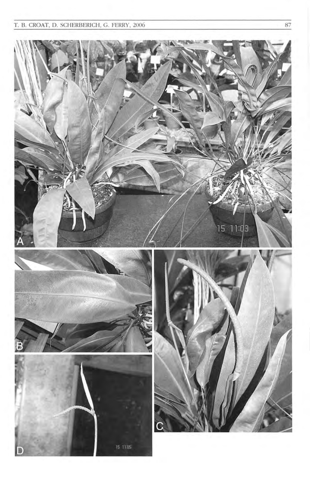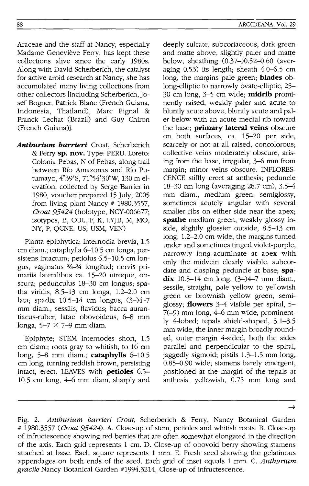Araceae and the staff at Nancy, especially Madame Geneviève Ferry, has kept these collections alive since the early 1980s. Along with David Scherberich, the catalyst for active aroid research at Nancy, she has accumulated many living collections from other collectors [including Scherberich, JOsef Bogner, Patrick Blanc (French Guiana, Indonesia, Thailand), Marc Pignal & Franck Lechat (Brazil) and Guy Chiron (French Guiana)].

*Anthurium barrieri* Croat, Scherberich & Ferry **sp. nov.** Type: PERU. Loreto: Colonia Pebas, N of Pebas, along trail between Río Amazonas and Río Putumayo, 4°39'S, 71°54'30"W, 130 m elevation, collected by Serge Barrier in 1980, voucher prepared 15 July, 2005 from living plant Nancy # 1980.3557, Croat 95424 (holotype, NCY-006677; isotypes, B, COL, F, K, LYJB, M, MO, NY, P, QCNE, US, USM, VEN)

Planta epiphytica; internodia brevia, 1.5 cm diam.; cataphylla 6-10.5 cm longa, persistens intactum; petiolus 6.5-10.5 cm longus, vaginatus 3/3-3/4 longitud; nervis primariis lateralibus ca. 15-20 utroque, obscura; pedunculus 18-30 cm longus; spatha viridis, 8.5-13 cm longa, 1.2-2.0 cm lata; spadix 10.5-14 cm longus, (3-)4-7 mm diam., sessilis, flavidus; bacca aurantiacus-ruber, latae obovoideus, 6-8 mm longa,  $5-7 \times 7-9$  mm diam.

Epiphyte; STEM internodes short, 1.5 cm diam.; roots gray to whitish, to 16 cm long, 5-8 mm diam.; **cataphylls** 6-10.5 cm long, turning reddish brown, persisting intact, erect. LEAVES with **petioles** 6.5- 10.5 cm long, 4-6 mm diam, sharply and deeply sulcate, subcoriaceous, dark green and matte above, slightly paler and matte below, sheathing (0.37-)0.52-0.60 (averaging 0.53) its length; sheath 4.0-6.5 cm long, the margins pale green; **blades** oblong-elliptic to narrowly ovate-elliptic, 25- 30 cm long, 3-5 cm wide; **midrib** prominently raised, weakly paler and acute to bluntly acute above, bluntly acute and paler below with an acute medial rib toward the base; **primary lateral veins** obscure on both surfaces, ca. 15-20 per side, scarcely or not at all raised, concolorous; collective veins moderately obscure, arising from the base, irregular, 3-6 mm from margin; minor veins obscure. INFLORES-CENCE stiffly erect at anthesis; peduncle 18-30 cm long (averaging 28.7 cm), 3.5-4 mm diam., medium green, semiglossy, sometimes acutely angular with several smaller ribs on either side near the apex; **spathe** medium green, weakly glossy inside, slightly glossier outside, 8.5-13 cm long, 1.2-2.0 cm wide, the margins turned under and sometimes tinged violet-purple, narrowly long-acuminate at apex with only the midvein clearly visible, subcordate and clasping peduncle at base; **spadix** 10.5-14 cm long, (3-)4-7 mm diam., sessile, straight, pale yellow to yellowish green or brownish yellow green, semiglossy; **flowers** 3-4 visible per spiral, 5- 7(-9) mm long, 4-6 mm wide, prominently 4-lobed; tepals shield-shaped, 3.1-3.5 mm wide, the inner margin broadly rounded, outer margin 4-sided, both the sides parallel and perpendicular to the spiral, jaggedly sigmoid; pistils 1.3-1.5 mm long, 0.85-0.90 wide; stamens barely emergent, positioned at the margin of the tepals at anthesis, yellowish, 0.75 mm long and

Fig. 2. Anthurium barrieri Croat, Scherberich & Ferry, Nancy Botanical Garden # 1980.3557 (Croat 95424). A. Close-up of stem, petioles and whitish roots. B. Close-up of infructescence showing red berries that are often somewhat elongated in the direction of the axis. Each grid represents 1 cm. D. Close-up of obovoid berry showing stamens attached at base. Each square represents 1 mm. E. Fresh seed showing the gelatinous appendages on both ends of the seed. Each grid of inset equals 1 mm. C. Anthurium *gracile* Nancy Botanical Garden #1994.3214, Close-up of infructescence.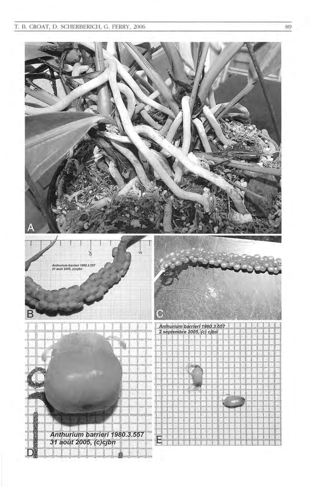